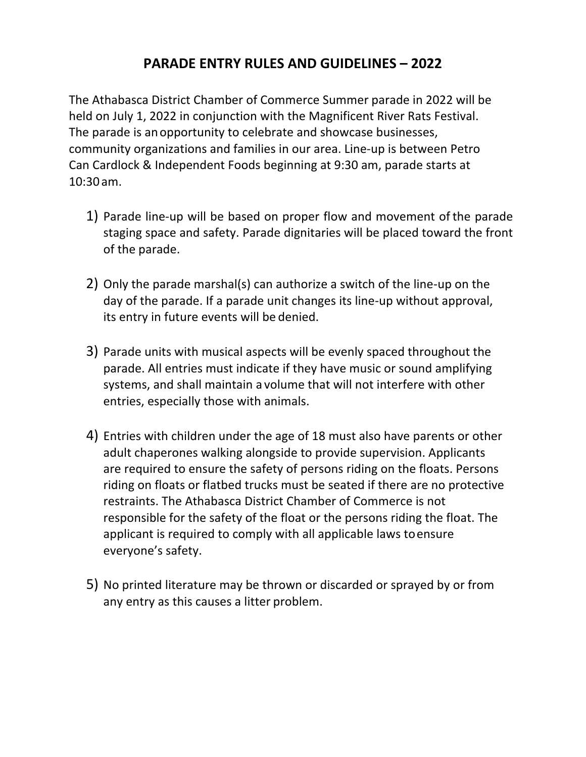## **PARADE ENTRY RULES AND GUIDELINES – 2022**

The Athabasca District Chamber of Commerce Summer parade in 2022 will be held on July 1, 2022 in conjunction with the Magnificent River Rats Festival. The parade is anopportunity to celebrate and showcase businesses, community organizations and families in our area. Line-up is between Petro Can Cardlock & Independent Foods beginning at 9:30 am, parade starts at 10:30 am.

- 1) Parade line-up will be based on proper flow and movement of the parade staging space and safety. Parade dignitaries will be placed toward the front of the parade.
- 2) Only the parade marshal(s) can authorize a switch of the line-up on the day of the parade. If a parade unit changes its line-up without approval, its entry in future events will be denied.
- 3) Parade units with musical aspects will be evenly spaced throughout the parade. All entries must indicate if they have music or sound amplifying systems, and shall maintain a volume that will not interfere with other entries, especially those with animals.
- 4) Entries with children under the age of 18 must also have parents or other adult chaperones walking alongside to provide supervision. Applicants are required to ensure the safety of persons riding on the floats. Persons riding on floats or flatbed trucks must be seated if there are no protective restraints. The Athabasca District Chamber of Commerce is not responsible for the safety of the float or the persons riding the float. The applicant is required to comply with all applicable laws toensure everyone's safety.
- 5) No printed literature may be thrown or discarded or sprayed by or from any entry as this causes a litter problem.